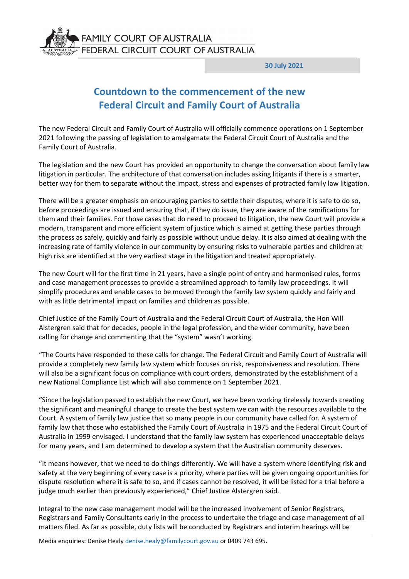

**30 July 2021**

## **Countdown to the commencement of the new Federal Circuit and Family Court of Australia**

The new Federal Circuit and Family Court of Australia will officially commence operations on 1 September 2021 following the passing of legislation to amalgamate the Federal Circuit Court of Australia and the Family Court of Australia.

The legislation and the new Court has provided an opportunity to change the conversation about family law litigation in particular. The architecture of that conversation includes asking litigants if there is a smarter, better way for them to separate without the impact, stress and expenses of protracted family law litigation.

There will be a greater emphasis on encouraging parties to settle their disputes, where it is safe to do so, before proceedings are issued and ensuring that, if they do issue, they are aware of the ramifications for them and their families. For those cases that do need to proceed to litigation, the new Court will provide a modern, transparent and more efficient system of justice which is aimed at getting these parties through the process as safely, quickly and fairly as possible without undue delay. It is also aimed at dealing with the increasing rate of family violence in our community by ensuring risks to vulnerable parties and children at high risk are identified at the very earliest stage in the litigation and treated appropriately.

The new Court will for the first time in 21 years, have a single point of entry and harmonised rules, forms and case management processes to provide a streamlined approach to family law proceedings. It will simplify procedures and enable cases to be moved through the family law system quickly and fairly and with as little detrimental impact on families and children as possible.

Chief Justice of the Family Court of Australia and the Federal Circuit Court of Australia, the Hon Will Alstergren said that for decades, people in the legal profession, and the wider community, have been calling for change and commenting that the "system" wasn't working.

"The Courts have responded to these calls for change. The Federal Circuit and Family Court of Australia will provide a completely new family law system which focuses on risk, responsiveness and resolution. There will also be a significant focus on compliance with court orders, demonstrated by the establishment of a new National Compliance List which will also commence on 1 September 2021.

"Since the legislation passed to establish the new Court, we have been working tirelessly towards creating the significant and meaningful change to create the best system we can with the resources available to the Court. A system of family law justice that so many people in our community have called for. A system of family law that those who established the Family Court of Australia in 1975 and the Federal Circuit Court of Australia in 1999 envisaged. I understand that the family law system has experienced unacceptable delays for many years, and I am determined to develop a system that the Australian community deserves.

"It means however, that we need to do things differently. We will have a system where identifying risk and safety at the very beginning of every case is a priority, where parties will be given ongoing opportunities for dispute resolution where it is safe to so, and if cases cannot be resolved, it will be listed for a trial before a judge much earlier than previously experienced," Chief Justice Alstergren said.

Integral to the new case management model will be the increased involvement of Senior Registrars, Registrars and Family Consultants early in the process to undertake the triage and case management of all matters filed. As far as possible, duty lists will be conducted by Registrars and interim hearings will be

Media enquiries: Denise Heal[y denise.healy@familycourt.gov.au](mailto:denise.healy@familycourt.gov.au) or 0409 743 695.